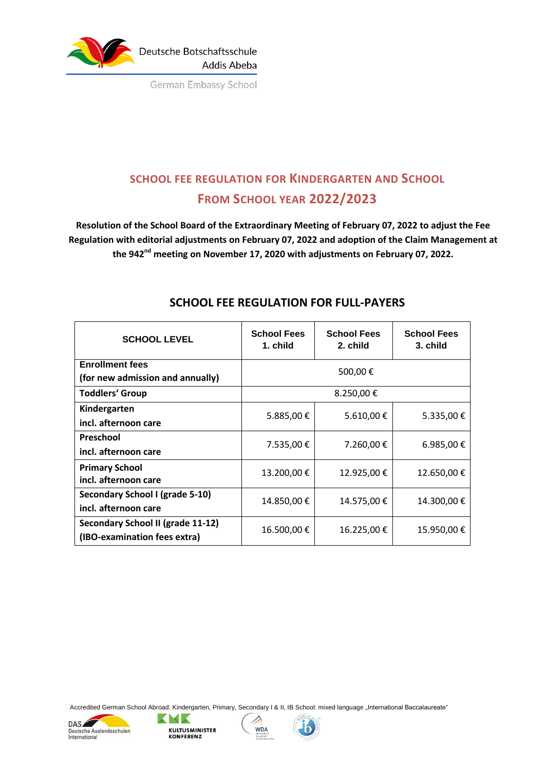

German Embassy School

# **SCHOOL FEE REGULATION FOR KINDERGARTEN AND SCHOOL FROM SCHOOL YEAR 2022/2023**

**Resolution of the School Board of the Extraordinary Meeting of February 07, 2022 to adjust the Fee Regulation with editorial adjustments on February 07, 2022 and adoption of the Claim Management at the 942nd meeting on November 17, 2020 with adjustments on February 07, 2022.**

| <b>SCHOOL LEVEL</b>                                               | <b>School Fees</b><br>1. child | <b>School Fees</b><br>2. child | <b>School Fees</b><br>3. child |
|-------------------------------------------------------------------|--------------------------------|--------------------------------|--------------------------------|
| <b>Enrollment fees</b><br>(for new admission and annually)        | 500,00€                        |                                |                                |
| <b>Toddlers' Group</b>                                            | 8.250,00€                      |                                |                                |
| Kindergarten<br>incl. afternoon care                              | 5.885,00 €                     | 5.610,00€                      | 5.335,00 €                     |
| Preschool<br>incl. afternoon care                                 | 7.535,00 €                     | 7.260,00 €                     | $6.985,00 \notin$              |
| <b>Primary School</b><br>incl. afternoon care                     | 13.200,00 €                    | 12.925,00€                     | 12.650,00 €                    |
| Secondary School I (grade 5-10)<br>incl. afternoon care           | 14.850,00 €                    | 14.575,00 €                    | 14.300,00 €                    |
| Secondary School II (grade 11-12)<br>(IBO-examination fees extra) | 16.500,00€                     | 16.225,00€                     | 15.950,00€                     |

# **SCHOOL FEE REGULATION FOR FULL-PAYERS**

Accredited German School Abroad: Kindergarten, Primary, Secondary I & II, IB School: mixed language "International Baccalaureate"

**WDA** 





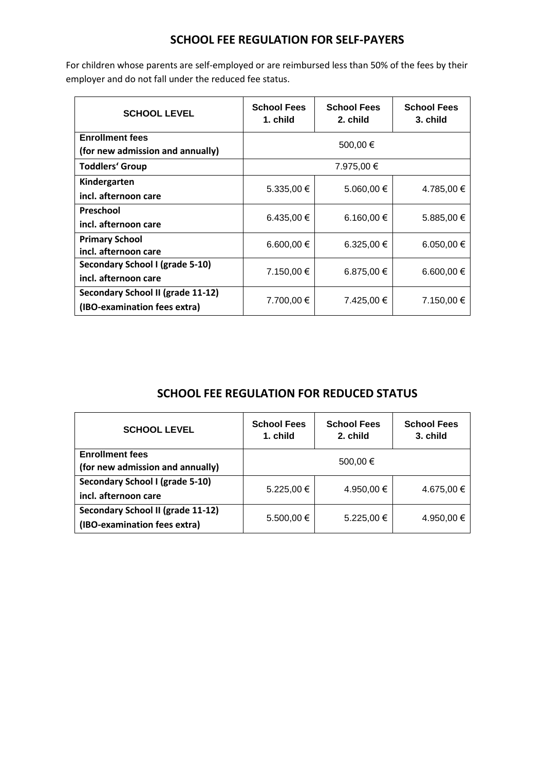# **SCHOOL FEE REGULATION FOR SELF-PAYERS**

For children whose parents are self-employed or are reimbursed less than 50% of the fees by their employer and do not fall under the reduced fee status.

| <b>SCHOOL LEVEL</b>                    | <b>School Fees</b><br>1. child | <b>School Fees</b><br>2. child | <b>School Fees</b><br>3. child |
|----------------------------------------|--------------------------------|--------------------------------|--------------------------------|
| <b>Enrollment fees</b>                 | 500,00 €                       |                                |                                |
| (for new admission and annually)       |                                |                                |                                |
| <b>Toddlers' Group</b>                 | 7.975,00 €                     |                                |                                |
| Kindergarten                           | 5.335,00 €                     | 5.060,00 €                     | 4.785,00 €                     |
| incl. afternoon care                   |                                |                                |                                |
| Preschool                              | 6.435,00 €                     | 6.160,00 €                     | 5.885,00 €                     |
| incl. afternoon care                   |                                |                                |                                |
| <b>Primary School</b>                  | 6.600,00 €                     | 6.325,00 €                     | 6.050,00 €                     |
| incl. afternoon care                   |                                |                                |                                |
| <b>Secondary School I (grade 5-10)</b> | 7.150,00 €                     | $6.875,00 \in$                 | 6.600,00 €                     |
| incl. afternoon care                   |                                |                                |                                |
| Secondary School II (grade 11-12)      | 7.700,00 €                     | 7.425,00 €                     | 7.150,00 €                     |
| (IBO-examination fees extra)           |                                |                                |                                |

# **SCHOOL FEE REGULATION FOR REDUCED STATUS**

| <b>SCHOOL LEVEL</b>                                               | <b>School Fees</b><br>1. child | <b>School Fees</b><br>2. child | <b>School Fees</b><br>3. child |
|-------------------------------------------------------------------|--------------------------------|--------------------------------|--------------------------------|
| <b>Enrollment fees</b><br>(for new admission and annually)        |                                | 500,00 €                       |                                |
| Secondary School I (grade 5-10)<br>incl. afternoon care           | 5.225,00 €                     | 4.950,00 €                     | 4.675,00 €                     |
| Secondary School II (grade 11-12)<br>(IBO-examination fees extra) | $5.500,00 \in$                 | 5.225,00 €                     | 4.950,00 €                     |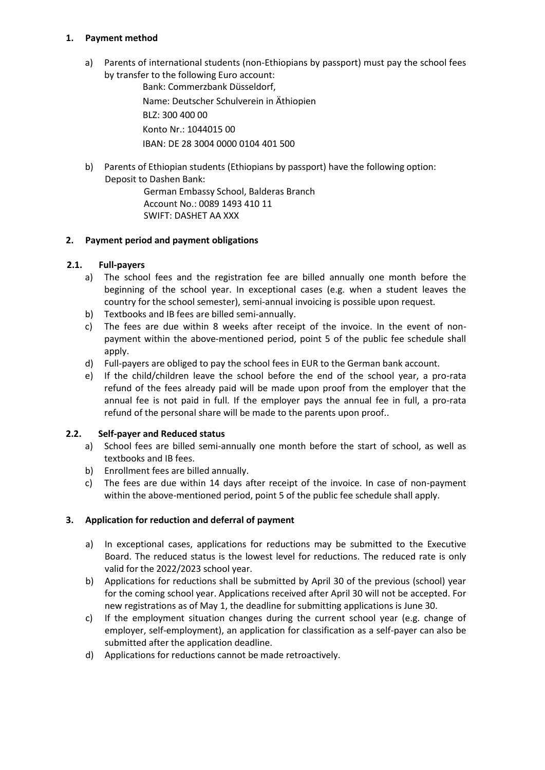### **1. Payment method**

a) Parents of international students (non-Ethiopians by passport) must pay the school fees by transfer to the following Euro account:

Bank: Commerzbank Düsseldorf, Name: Deutscher Schulverein in Äthiopien BLZ: 300 400 00 Konto Nr.: 1044015 00 IBAN: DE 28 3004 0000 0104 401 500

b) Parents of Ethiopian students (Ethiopians by passport) have the following option: Deposit to Dashen Bank:

> German Embassy School, Balderas Branch Account No.: 0089 1493 410 11 SWIFT: DASHET AA XXX

## **2. Payment period and payment obligations**

## **2.1. Full-payers**

- a) The school fees and the registration fee are billed annually one month before the beginning of the school year. In exceptional cases (e.g. when a student leaves the country for the school semester), semi-annual invoicing is possible upon request.
- b) Textbooks and IB fees are billed semi-annually.
- c) The fees are due within 8 weeks after receipt of the invoice. In the event of nonpayment within the above-mentioned period, point 5 of the public fee schedule shall apply.
- d) Full-payers are obliged to pay the school fees in EUR to the German bank account.
- e) If the child/children leave the school before the end of the school year, a pro-rata refund of the fees already paid will be made upon proof from the employer that the annual fee is not paid in full. If the employer pays the annual fee in full, a pro-rata refund of the personal share will be made to the parents upon proof..

#### **2.2. Self-payer and Reduced status**

- a) School fees are billed semi-annually one month before the start of school, as well as textbooks and IB fees.
- b) Enrollment fees are billed annually.
- c) The fees are due within 14 days after receipt of the invoice. In case of non-payment within the above-mentioned period, point 5 of the public fee schedule shall apply.

# **3. Application for reduction and deferral of payment**

- a) In exceptional cases, applications for reductions may be submitted to the Executive Board. The reduced status is the lowest level for reductions. The reduced rate is only valid for the 2022/2023 school year.
- b) Applications for reductions shall be submitted by April 30 of the previous (school) year for the coming school year. Applications received after April 30 will not be accepted. For new registrations as of May 1, the deadline for submitting applications is June 30.
- c) If the employment situation changes during the current school year (e.g. change of employer, self-employment), an application for classification as a self-payer can also be submitted after the application deadline.
- d) Applications for reductions cannot be made retroactively.